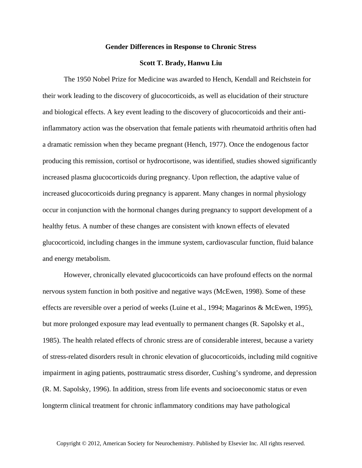## **Gender Differences in Response to Chronic Stress**

## **Scott T. Brady, Hanwu Liu**

The 1950 Nobel Prize for Medicine was awarded to Hench, Kendall and Reichstein for their work leading to the discovery of glucocorticoids, as well as elucidation of their structure and biological effects. A key event leading to the discovery of glucocorticoids and their antiinflammatory action was the observation that female patients with rheumatoid arthritis often had a dramatic remission when they became pregnant (Hench, 1977). Once the endogenous factor producing this remission, cortisol or hydrocortisone, was identified, studies showed significantly increased plasma glucocorticoids during pregnancy. Upon reflection, the adaptive value of increased glucocorticoids during pregnancy is apparent. Many changes in normal physiology occur in conjunction with the hormonal changes during pregnancy to support development of a healthy fetus. A number of these changes are consistent with known effects of elevated glucocorticoid, including changes in the immune system, cardiovascular function, fluid balance and energy metabolism.

However, chronically elevated glucocorticoids can have profound effects on the normal nervous system function in both positive and negative ways (McEwen, 1998). Some of these effects are reversible over a period of weeks (Luine et al., 1994; Magarinos & McEwen, 1995), but more prolonged exposure may lead eventually to permanent changes (R. Sapolsky et al., 1985). The health related effects of chronic stress are of considerable interest, because a variety of stress-related disorders result in chronic elevation of glucocorticoids, including mild cognitive impairment in aging patients, posttraumatic stress disorder, Cushing's syndrome, and depression (R. M. Sapolsky, 1996). In addition, stress from life events and socioeconomic status or even longterm clinical treatment for chronic inflammatory conditions may have pathological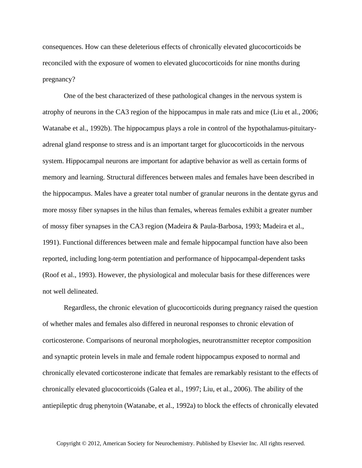consequences. How can these deleterious effects of chronically elevated glucocorticoids be reconciled with the exposure of women to elevated glucocorticoids for nine months during pregnancy?

One of the best characterized of these pathological changes in the nervous system is atrophy of neurons in the CA3 region of the hippocampus in male rats and mice (Liu et al., 2006; Watanabe et al., 1992b). The hippocampus plays a role in control of the hypothalamus-pituitaryadrenal gland response to stress and is an important target for glucocorticoids in the nervous system. Hippocampal neurons are important for adaptive behavior as well as certain forms of memory and learning. Structural differences between males and females have been described in the hippocampus. Males have a greater total number of granular neurons in the dentate gyrus and more mossy fiber synapses in the hilus than females, whereas females exhibit a greater number of mossy fiber synapses in the CA3 region (Madeira & Paula-Barbosa, 1993; Madeira et al., 1991). Functional differences between male and female hippocampal function have also been reported, including long-term potentiation and performance of hippocampal-dependent tasks (Roof et al., 1993). However, the physiological and molecular basis for these differences were not well delineated.

Regardless, the chronic elevation of glucocorticoids during pregnancy raised the question of whether males and females also differed in neuronal responses to chronic elevation of corticosterone. Comparisons of neuronal morphologies, neurotransmitter receptor composition and synaptic protein levels in male and female rodent hippocampus exposed to normal and chronically elevated corticosterone indicate that females are remarkably resistant to the effects of chronically elevated glucocorticoids (Galea et al., 1997; Liu, et al., 2006). The ability of the antiepileptic drug phenytoin (Watanabe, et al., 1992a) to block the effects of chronically elevated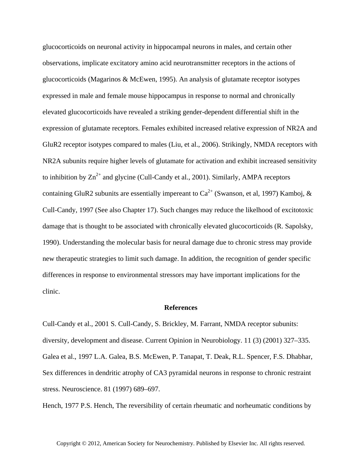glucocorticoids on neuronal activity in hippocampal neurons in males, and certain other observations, implicate excitatory amino acid neurotransmitter receptors in the actions of glucocorticoids (Magarinos & McEwen, 1995). An analysis of glutamate receptor isotypes expressed in male and female mouse hippocampus in response to normal and chronically elevated glucocorticoids have revealed a striking gender-dependent differential shift in the expression of glutamate receptors. Females exhibited increased relative expression of NR2A and GluR2 receptor isotypes compared to males (Liu, et al., 2006). Strikingly, NMDA receptors with NR2A subunits require higher levels of glutamate for activation and exhibit increased sensitivity to inhibition by  $\text{Zn}^{2+}$  and glycine (Cull-Candy et al., 2001). Similarly, AMPA receptors containing GluR2 subunits are essentially impereant to  $Ca^{2+}$  (Swanson, et al, 1997) Kamboj, & Cull-Candy, 1997 (See also Chapter 17). Such changes may reduce the likelhood of excitotoxic damage that is thought to be associated with chronically elevated glucocorticoids (R. Sapolsky, 1990). Understanding the molecular basis for neural damage due to chronic stress may provide new therapeutic strategies to limit such damage. In addition, the recognition of gender specific differences in response to environmental stressors may have important implications for the clinic.

## **References**

Cull-Candy et al., 2001 S. Cull-Candy, S. Brickley, M. Farrant, NMDA receptor subunits: diversity, development and disease. Current Opinion in Neurobiology. 11 (3) (2001) 327–335. Galea et al., 1997 L.A. Galea, B.S. McEwen, P. Tanapat, T. Deak, R.L. Spencer, F.S. Dhabhar, Sex differences in dendritic atrophy of CA3 pyramidal neurons in response to chronic restraint stress. Neuroscience. 81 (1997) 689–697.

Hench, 1977 P.S. Hench, The reversibility of certain rheumatic and norheumatic conditions by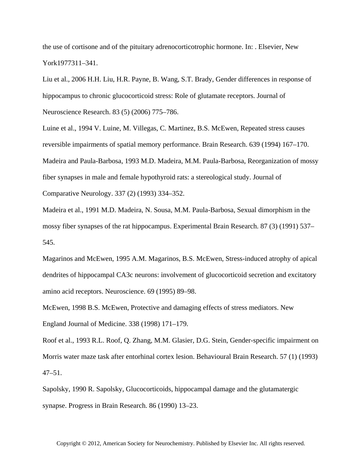the use of cortisone and of the pituitary adrenocorticotrophic hormone. In: . Elsevier, New York1977311–341.

Liu et al., 2006 H.H. Liu, H.R. Payne, B. Wang, S.T. Brady, Gender differences in response of hippocampus to chronic glucocorticoid stress: Role of glutamate receptors. Journal of Neuroscience Research. 83 (5) (2006) 775–786.

Luine et al., 1994 V. Luine, M. Villegas, C. Martinez, B.S. McEwen, Repeated stress causes reversible impairments of spatial memory performance. Brain Research. 639 (1994) 167–170. Madeira and Paula-Barbosa, 1993 M.D. Madeira, M.M. Paula-Barbosa, Reorganization of mossy fiber synapses in male and female hypothyroid rats: a stereological study. Journal of Comparative Neurology. 337 (2) (1993) 334–352.

Madeira et al., 1991 M.D. Madeira, N. Sousa, M.M. Paula-Barbosa, Sexual dimorphism in the mossy fiber synapses of the rat hippocampus. Experimental Brain Research. 87 (3) (1991) 537– 545.

Magarinos and McEwen, 1995 A.M. Magarinos, B.S. McEwen, Stress-induced atrophy of apical dendrites of hippocampal CA3c neurons: involvement of glucocorticoid secretion and excitatory amino acid receptors. Neuroscience. 69 (1995) 89–98.

McEwen, 1998 B.S. McEwen, Protective and damaging effects of stress mediators. New England Journal of Medicine. 338 (1998) 171–179.

Roof et al., 1993 R.L. Roof, Q. Zhang, M.M. Glasier, D.G. Stein, Gender-specific impairment on Morris water maze task after entorhinal cortex lesion. Behavioural Brain Research. 57 (1) (1993) 47–51.

Sapolsky, 1990 R. Sapolsky, Glucocorticoids, hippocampal damage and the glutamatergic synapse. Progress in Brain Research. 86 (1990) 13–23.